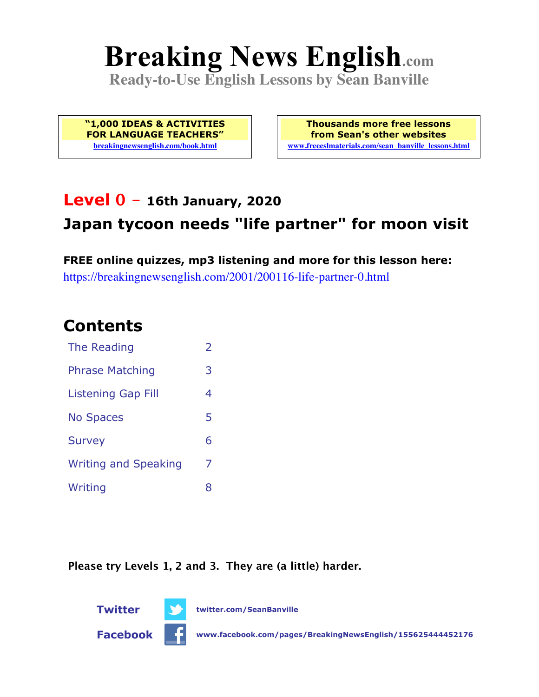# **Breaking News English.com**

**Ready-to-Use English Lessons by Sean Banville**

**"1,000 IDEAS & ACTIVITIES FOR LANGUAGE TEACHERS" breakingnewsenglish.com/book.html**

**Thousands more free lessons from Sean's other websites www.freeeslmaterials.com/sean\_banville\_lessons.html**

## **Level 0 - 16th January, 2020 Japan tycoon needs "life partner" for moon visit**

**FREE online quizzes, mp3 listening and more for this lesson here:** https://breakingnewsenglish.com/2001/200116-life-partner-0.html

#### **Contents**

| The Reading                 | $\overline{\mathcal{L}}$ |
|-----------------------------|--------------------------|
| <b>Phrase Matching</b>      | 3                        |
| <b>Listening Gap Fill</b>   | 4                        |
| <b>No Spaces</b>            | 5                        |
| <b>Survey</b>               | 6                        |
| <b>Writing and Speaking</b> | 7                        |
| Writing                     | 8                        |

**Please try Levels 1, 2 and 3. They are (a little) harder.**





**Facebook www.facebook.com/pages/BreakingNewsEnglish/155625444452176**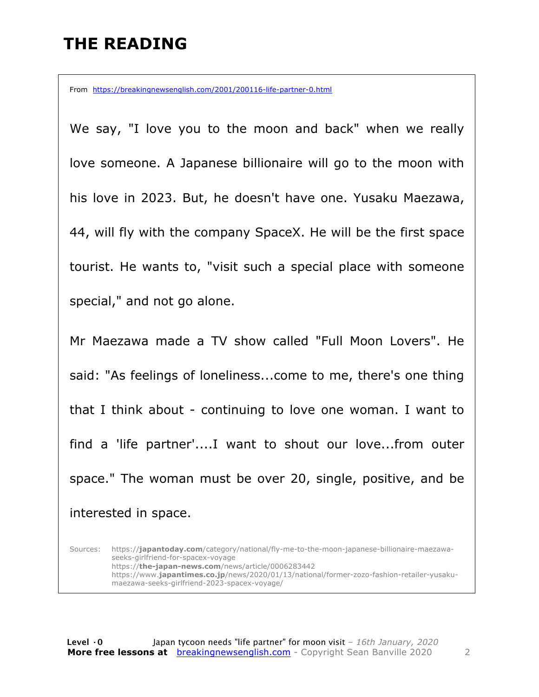#### **THE READING**

From https://breakingnewsenglish.com/2001/200116-life-partner-0.html

We say, "I love you to the moon and back" when we really love someone. A Japanese billionaire will go to the moon with his love in 2023. But, he doesn't have one. Yusaku Maezawa, 44, will fly with the company SpaceX. He will be the first space tourist. He wants to, "visit such a special place with someone special," and not go alone.

Mr Maezawa made a TV show called "Full Moon Lovers". He said: "As feelings of loneliness...come to me, there's one thing that I think about - continuing to love one woman. I want to find a 'life partner'....I want to shout our love...from outer space." The woman must be over 20, single, positive, and be interested in space.

Sources: https://**japantoday.com**/category/national/fly-me-to-the-moon-japanese-billionaire-maezawaseeks-girlfriend-for-spacex-voyage https://**the-japan-news.com**/news/article/0006283442 https://www.**japantimes.co.jp**/news/2020/01/13/national/former-zozo-fashion-retailer-yusakumaezawa-seeks-girlfriend-2023-spacex-voyage/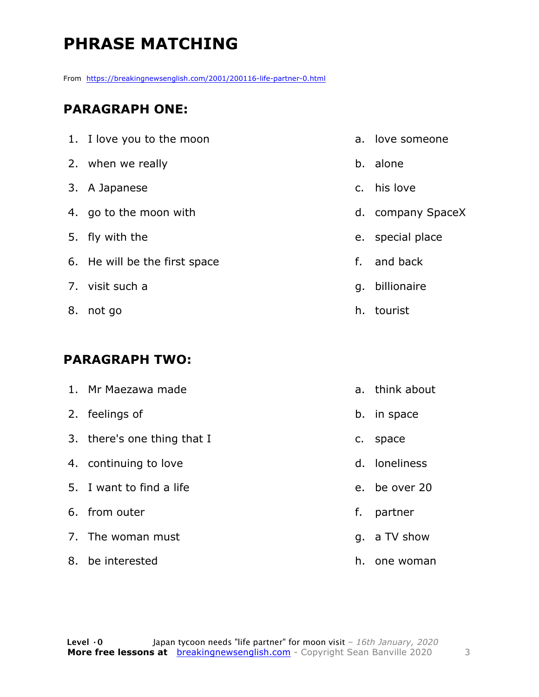# **PHRASE MATCHING**

From https://breakingnewsenglish.com/2001/200116-life-partner-0.html

#### **PARAGRAPH ONE:**

|    | 1. I love you to the moon     | a. love someone   |
|----|-------------------------------|-------------------|
|    | 2. when we really             | b. alone          |
|    | 3. A Japanese                 | c. his love       |
|    | 4. go to the moon with        | d. company SpaceX |
|    | 5. fly with the               | e. special place  |
|    | 6. He will be the first space | f. and back       |
|    | 7. visit such a               | g. billionaire    |
| 8. | not go                        | h. tourist        |

#### **PARAGRAPH TWO:**

| 1. Mr Maezawa made          |    | a. think about |
|-----------------------------|----|----------------|
| 2. feelings of              |    | b. in space    |
| 3. there's one thing that I | c. | space          |
| 4. continuing to love       |    | d. loneliness  |
| 5. I want to find a life    |    | e. be over 20  |
| 6. from outer               | f. | partner        |
| 7. The woman must           |    | g. a TV show   |
| 8. be interested            | h. | one woman      |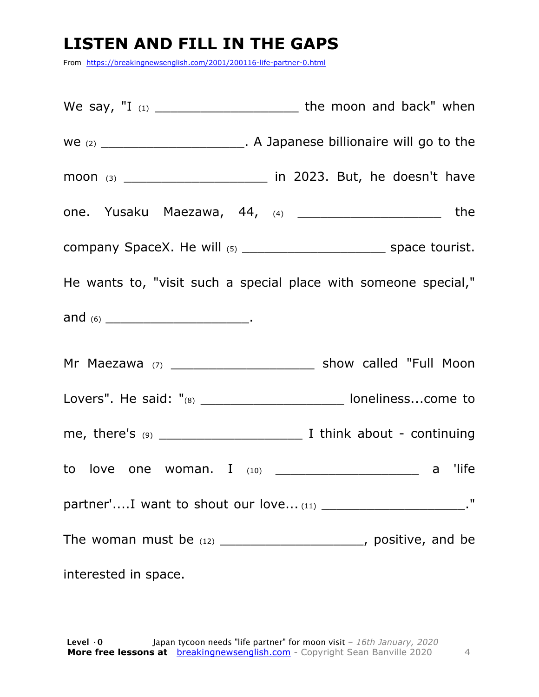### **LISTEN AND FILL IN THE GAPS**

From https://breakingnewsenglish.com/2001/200116-life-partner-0.html

We say, "I  $_{(1)}$  and say, "I  $_{(1)}$  and sack" when We (2) \_\_\_\_\_\_\_\_\_\_\_\_\_\_\_\_\_\_\_\_\_\_\_\_\_\_\_\_\_. A Japanese billionaire will go to the moon (3) \_\_\_\_\_\_\_\_\_\_\_\_\_\_\_\_\_\_\_\_\_\_\_\_ in 2023. But, he doesn't have one. Yusaku Maezawa, 44, (4) \_\_\_\_\_\_\_\_\_\_\_\_\_\_\_\_\_\_\_\_ the company SpaceX. He will (5) \_\_\_\_\_\_\_\_\_\_\_\_\_\_\_\_\_\_\_ space tourist. He wants to, "visit such a special place with someone special," and (6) \_\_\_\_\_\_\_\_\_\_\_\_\_\_\_\_\_\_\_\_\_\_\_\_\_\_\_\_\_\_\_\_\_\_. Mr Maezawa (7) \_\_\_\_\_\_\_\_\_\_\_\_\_\_\_\_\_\_\_\_\_\_\_\_\_\_ show called "Full Moon Lovers". He said: "(8) \_\_\_\_\_\_\_\_\_\_\_\_\_\_\_\_\_\_\_\_\_\_ loneliness...come to me, there's (9) \_\_\_\_\_\_\_\_\_\_\_\_\_\_\_\_\_\_\_\_\_\_\_\_\_\_ I think about - continuing to love one woman. I (10) \_\_\_\_\_\_\_\_\_\_\_\_\_\_\_\_\_\_\_ a 'life partner'....I want to shout our love... (11) \_\_\_\_\_\_\_\_\_\_\_\_\_\_\_\_\_\_\_\_\_\_\_." The woman must be  $(12)$  \_\_\_\_\_\_\_\_\_\_\_\_\_\_\_\_\_\_\_\_\_\_, positive, and be interested in space.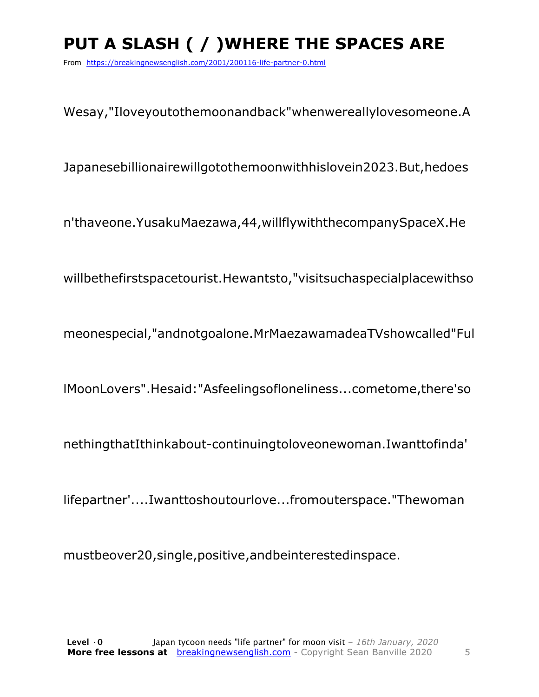# PUT A SLASH ( / ) WHERE THE SPACES ARE

From https://breakingnewsenglish.com/2001/200116-life-partner-0.html

Wesay, "Iloveyoutothemoonandback" when were ally loves omeone. A

Japanesebillionairewillgotothemoonwithhislovein2023.But, hedoes

n'thaveone. Yusaku Maezawa, 44, will fly with the company Space X. He

willbethefirstspacetourist.Hewantsto,"visitsuchaspecialplacewithso

meonespecial,"andnotgoalone.MrMaezawamadeaTVshowcalled"Ful

IMoonLovers".Hesaid:"Asfeelingsofloneliness...cometome,there'so

nethingthatIthinkabout-continuingtoloveonewoman.Iwanttofinda'

lifepartner'....Iwanttoshoutourlove...fromouterspace."Thewoman

mustbeover20, single, positive, and be interested inspace.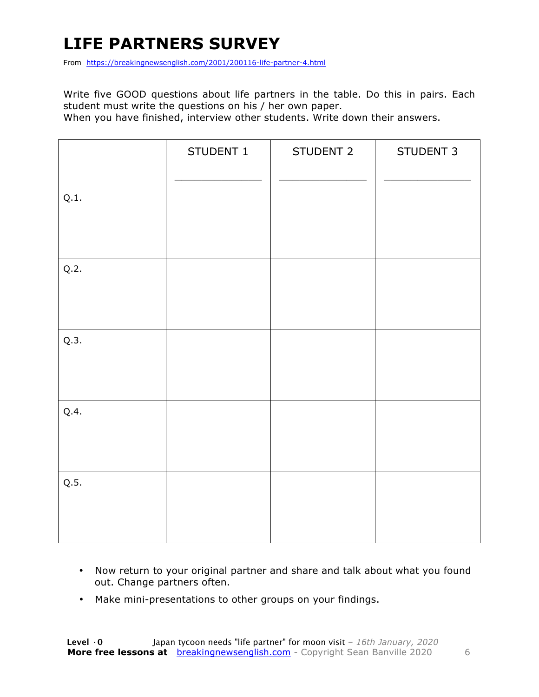# **LIFE PARTNERS SURVEY**

From https://breakingnewsenglish.com/2001/200116-life-partner-4.html

Write five GOOD questions about life partners in the table. Do this in pairs. Each student must write the questions on his / her own paper.

When you have finished, interview other students. Write down their answers.

|      | STUDENT 1 | STUDENT 2 | STUDENT 3 |
|------|-----------|-----------|-----------|
| Q.1. |           |           |           |
| Q.2. |           |           |           |
| Q.3. |           |           |           |
| Q.4. |           |           |           |
| Q.5. |           |           |           |

- Now return to your original partner and share and talk about what you found out. Change partners often.
- Make mini-presentations to other groups on your findings.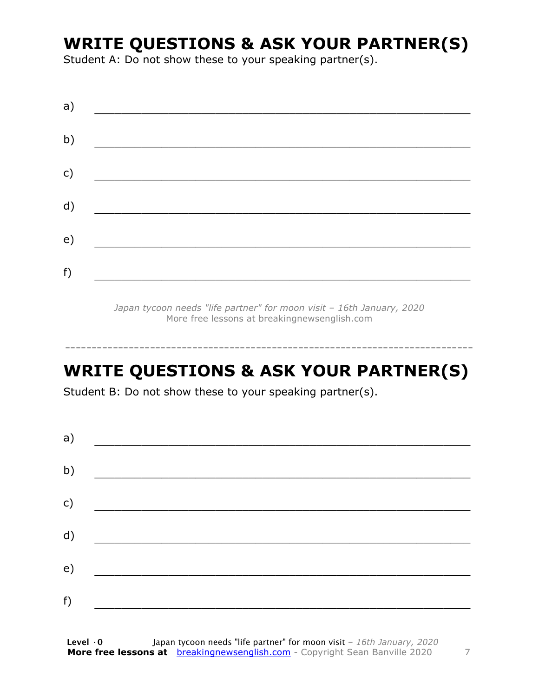#### **WRITE QUESTIONS & ASK YOUR PARTNER(S)**

Student A: Do not show these to your speaking partner(s).

| a) |  |  |
|----|--|--|
| b) |  |  |
| c) |  |  |
| d) |  |  |
| e) |  |  |
|    |  |  |
| f) |  |  |

*Japan tycoon needs "life partner" for moon visit – 16th January, 2020* More free lessons at breakingnewsenglish.com

#### **WRITE QUESTIONS & ASK YOUR PARTNER(S)**

-----------------------------------------------------------------------------

Student B: Do not show these to your speaking partner(s).

| a) |  |  |
|----|--|--|
| b) |  |  |
| c) |  |  |
| d) |  |  |
| e) |  |  |
| f) |  |  |
|    |  |  |

**Level ·0** Japan tycoon needs "life partner" for moon visit *– 16th January, 2020* **More free lessons at** breakingnewsenglish.com - Copyright Sean Banville 2020 7